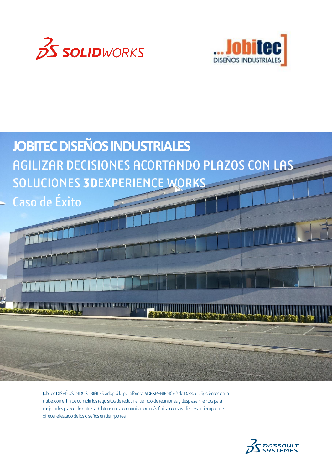





Jobitec DISEÑOS INDUSTRIALES adoptó la plataforma 3DEXPERIENCE® de Dassault Systèmes en la nube, con el fin de cumplir los requisitos de reducir el tiempo de reuniones y desplazamientos para mejorar los plazos de entrega. Obtener una comunicación más fluida con sus clientes al tiempo que ofrecer el estado de los diseños en tiempo real.

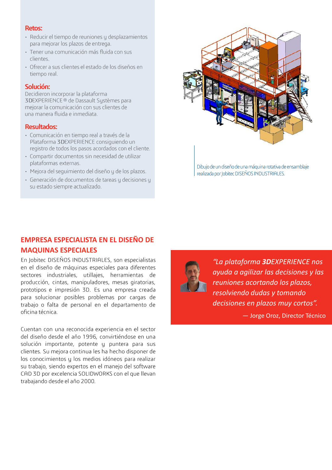#### **Retos:**

- · Reducir el tiempo de reuniones y desplazamientos para mejorar los plazos de entrega.
- · Tener una comunicación más fluida con sus clientes.
- · Ofrecer a sus clientes el estado de los diseños en tiempo real.

#### Solución:

Decidieron incorporar la plataforma 3DEXPERIENCE® de Dassault Systèmes para mejorar la comunicación con sus clientes de una manera fluida e inmediata.

## **Resultados:**

- · Comunicación en tiempo real a través de la Plataforma 3DEXPERIENCE consiguiendo un registro de todos los pasos acordados con el cliente.
- · Compartir documentos sin necesidad de utilizar plataformas externas.
- · Mejora del seguimiento del diseño y de los plazos.
- · Generación de documentos de tareas y decisiones y su estado siempre actualizado.



Dibujo de un diseño de una máquina rotativa de ensamblaje realizada por Jobitec DISEÑOS INDUSTRIALES.

## **EMPRESA ESPECIALISTA EN EL DISEÑO DE**

### **MAQUINAS ESPECIALES**

En Jobitec DISEÑOS INDUSTRIALES, son especialistas en el diseño de máquinas especiales para diferentes sectores industriales, utillajes, herramientas de producción, cintas, manipuladores, mesas giratorias, prototipos e impresión 3D. Es una empresa creada para solucionar posibles problemas por cargas de trabajo o falta de personal en el departamento de oficina técnica.

Cuentan con una reconocida experiencia en el sector del diseño desde el año 1996, convirtiéndose en una solución importante, potente y puntera para sus clientes. Su mejora continua les ha hecho disponer de los conocimientos y los medios idóneos para realizar su trabajo, siendo expertos en el manejo del software CAD 3D por excelencia SOLIDWORKS con el que llevan trabajando desde el año 2000.



"La plataforma **3DEXPERIENCE** nos ayuda a agilizar las decisiones y las reuniones acortando los plazos, resolviendo dudas y tomando decisiones en plazos muy cortos". - Jorge Oroz, Director Técnico